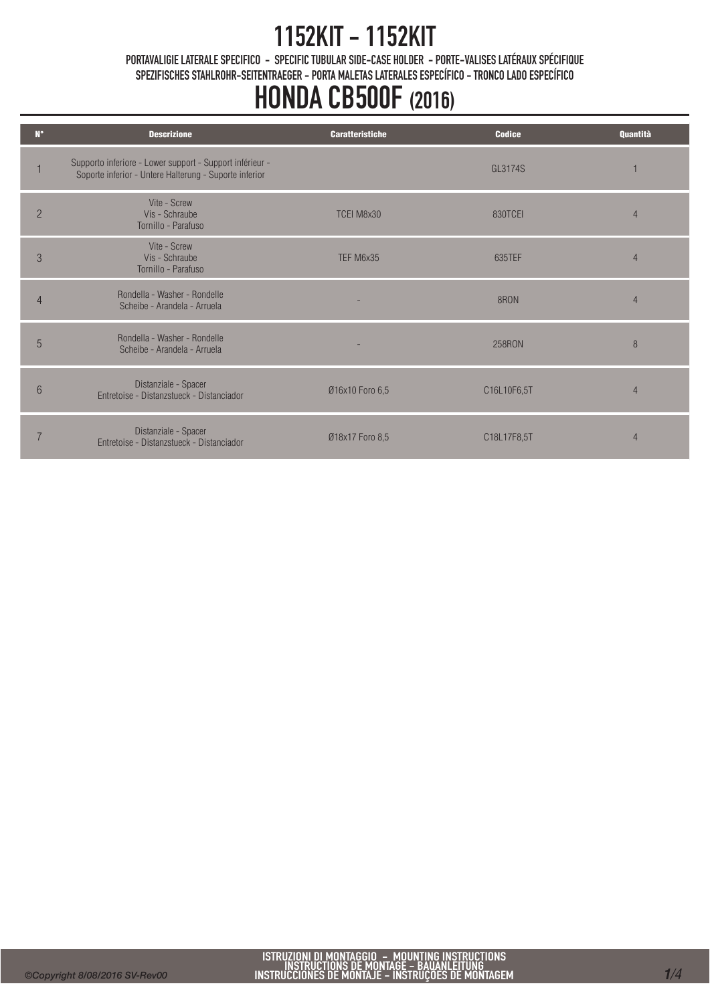PORTAVALIGIE LATERALE SPECIFICO - SPECIFIC TUBULAR SIDE-CASE HOLDER - PORTE-VALISES LATÉRAUX SPÉCIFIQUE SPEZIFISCHES STAHLROHR-SEITENTRAEGER - PORTA MALETAS LATERALES ESPECÍFICO - TRONCO LADO ESPECÍFICO

| $N^{\circ}$    | <b>Descrizione</b>                                                                                                 | <b>Caratteristiche</b> | <b>Codice</b> | Quantità       |
|----------------|--------------------------------------------------------------------------------------------------------------------|------------------------|---------------|----------------|
|                | Supporto inferiore - Lower support - Support inférieur -<br>Soporte inferior - Untere Halterung - Suporte inferior |                        | GL3174S       |                |
| $\overline{2}$ | Vite - Screw<br>Vis - Schraube<br>Tornillo - Parafuso                                                              | TCEI M8x30             | 830TCEI       | 4              |
| 3              | Vite - Screw<br>Vis - Schraube<br>Tornillo - Parafuso                                                              | TEF M6x35              | 635TEF        | $\overline{4}$ |
| 4              | Rondella - Washer - Rondelle<br>Scheibe - Arandela - Arruela                                                       |                        | 8RON          | $\Delta$       |
| 5              | Rondella - Washer - Rondelle<br>Scheibe - Arandela - Arruela                                                       |                        | <b>258RON</b> | 8              |
| 6              | Distanziale - Spacer<br>Entretoise - Distanzstueck - Distanciador                                                  | Ø16x10 Foro 6,5        | C16L10F6,5T   | $\overline{4}$ |
|                | Distanziale - Spacer<br>Entretoise - Distanzstueck - Distanciador                                                  | Ø18x17 Foro 8,5        | C18L17F8,5T   |                |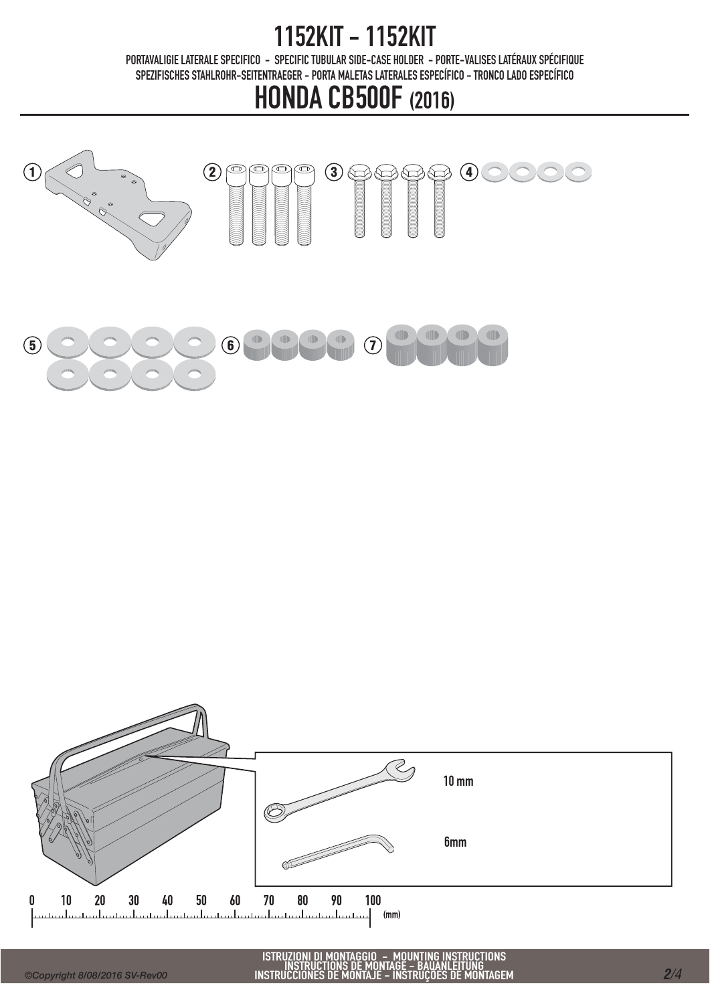PORTAVALIGIE LATERALE SPECIFICO - SPECIFIC TUBULAR SIDE-CASE HOLDER - PORTE-VALISES LATÉRAUX SPÉCIFIQUE SPEZIFISCHES STAHLROHR-SEITENTRAEGER - PORTA MALETAS LATERALES ESPECÍFICO - TRONCO LADO ESPECÍFICO



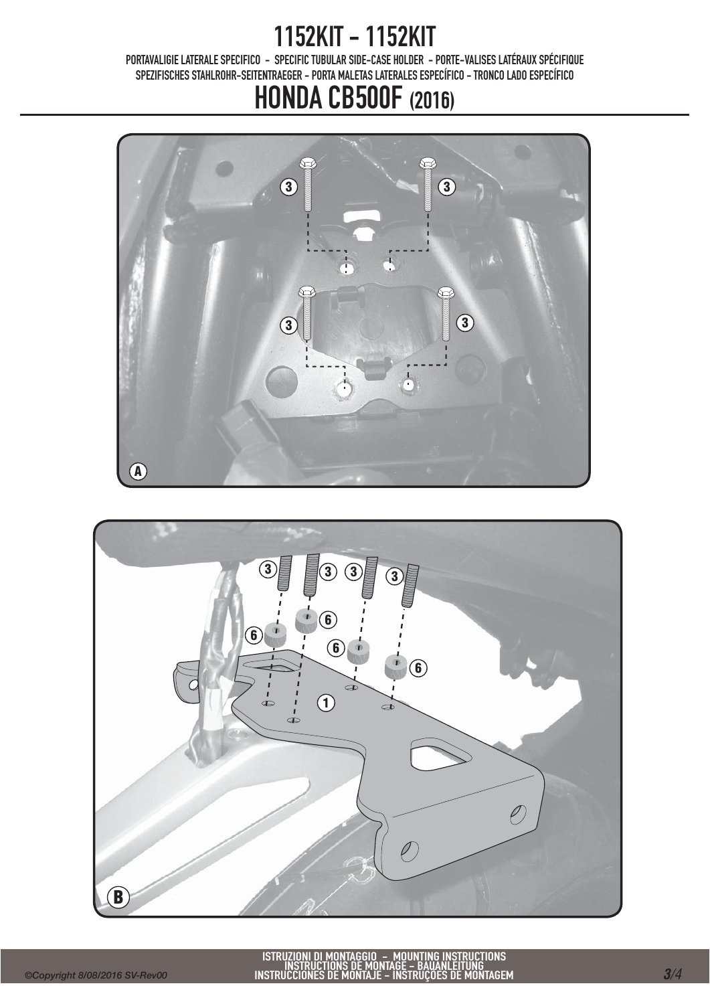PORTAVALIGIE LATERALE SPECIFICO - SPECIFIC TUBULAR SIDE-CASE HOLDER - PORTE-VALISES LATÉRAUX SPÉCIFIQUE SPEZIFISCHES STAHLROHR-SEITENTRAEGER - PORTA MALETAS LATERALES ESPECÍFICO - TRONCO LADO ESPECÍFICO